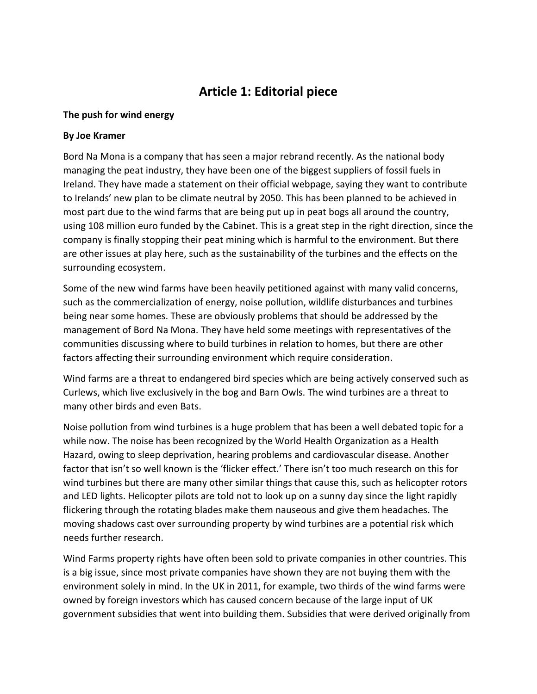## **Article 1: Editorial piece**

### **The push for wind energy**

### **By Joe Kramer**

Bord Na Mona is a company that has seen a major rebrand recently. As the national body managing the peat industry, they have been one of the biggest suppliers of fossil fuels in Ireland. They have made a statement on their official webpage, saying they want to contribute to Irelands' new plan to be climate neutral by 2050. This has been planned to be achieved in most part due to the wind farms that are being put up in peat bogs all around the country, using 108 million euro funded by the Cabinet. This is a great step in the right direction, since the company is finally stopping their peat mining which is harmful to the environment. But there are other issues at play here, such as the sustainability of the turbines and the effects on the surrounding ecosystem.

Some of the new wind farms have been heavily petitioned against with many valid concerns, such as the commercialization of energy, noise pollution, wildlife disturbances and turbines being near some homes. These are obviously problems that should be addressed by the management of Bord Na Mona. They have held some meetings with representatives of the communities discussing where to build turbines in relation to homes, but there are other factors affecting their surrounding environment which require consideration.

Wind farms are a threat to endangered bird species which are being actively conserved such as Curlews, which live exclusively in the bog and Barn Owls. The wind turbines are a threat to many other birds and even Bats.

Noise pollution from wind turbines is a huge problem that has been a well debated topic for a while now. The noise has been recognized by the World Health Organization as a Health Hazard, owing to sleep deprivation, hearing problems and cardiovascular disease. Another factor that isn't so well known is the 'flicker effect.' There isn't too much research on this for wind turbines but there are many other similar things that cause this, such as helicopter rotors and LED lights. Helicopter pilots are told not to look up on a sunny day since the light rapidly flickering through the rotating blades make them nauseous and give them headaches. The moving shadows cast over surrounding property by wind turbines are a potential risk which needs further research.

Wind Farms property rights have often been sold to private companies in other countries. This is a big issue, since most private companies have shown they are not buying them with the environment solely in mind. In the UK in 2011, for example, two thirds of the wind farms were owned by foreign investors which has caused concern because of the large input of UK government subsidies that went into building them. Subsidies that were derived originally from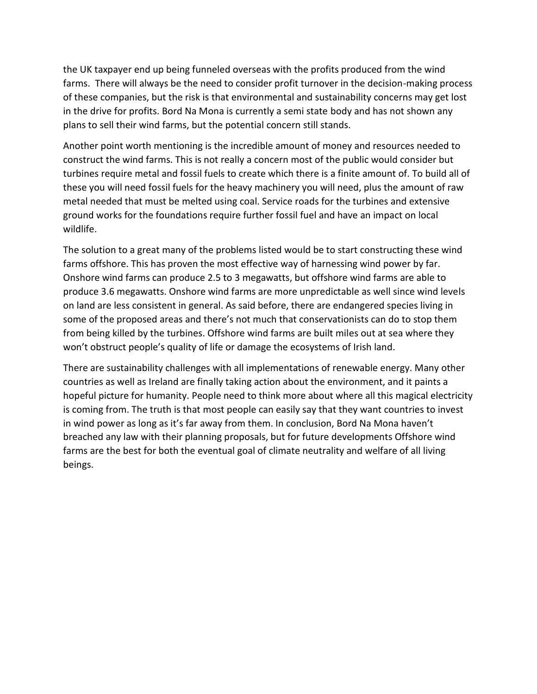the UK taxpayer end up being funneled overseas with the profits produced from the wind farms. There will always be the need to consider profit turnover in the decision-making process of these companies, but the risk is that environmental and sustainability concerns may get lost in the drive for profits. Bord Na Mona is currently a semi state body and has not shown any plans to sell their wind farms, but the potential concern still stands.

Another point worth mentioning is the incredible amount of money and resources needed to construct the wind farms. This is not really a concern most of the public would consider but turbines require metal and fossil fuels to create which there is a finite amount of. To build all of these you will need fossil fuels for the heavy machinery you will need, plus the amount of raw metal needed that must be melted using coal. Service roads for the turbines and extensive ground works for the foundations require further fossil fuel and have an impact on local wildlife.

The solution to a great many of the problems listed would be to start constructing these wind farms offshore. This has proven the most effective way of harnessing wind power by far. Onshore wind farms can produce 2.5 to 3 megawatts, but offshore wind farms are able to produce 3.6 megawatts. Onshore wind farms are more unpredictable as well since wind levels on land are less consistent in general. As said before, there are endangered species living in some of the proposed areas and there's not much that conservationists can do to stop them from being killed by the turbines. Offshore wind farms are built miles out at sea where they won't obstruct people's quality of life or damage the ecosystems of Irish land.

There are sustainability challenges with all implementations of renewable energy. Many other countries as well as Ireland are finally taking action about the environment, and it paints a hopeful picture for humanity. People need to think more about where all this magical electricity is coming from. The truth is that most people can easily say that they want countries to invest in wind power as long as it's far away from them. In conclusion, Bord Na Mona haven't breached any law with their planning proposals, but for future developments Offshore wind farms are the best for both the eventual goal of climate neutrality and welfare of all living beings.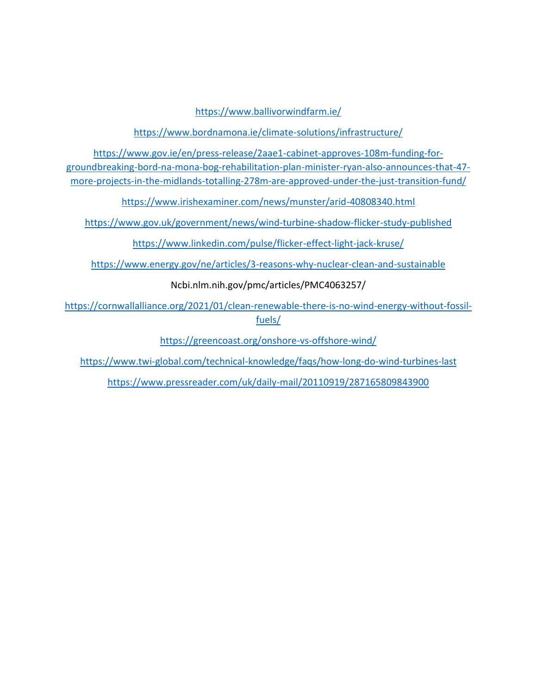<https://www.ballivorwindfarm.ie/>

<https://www.bordnamona.ie/climate-solutions/infrastructure/>

[https://www.gov.ie/en/press-release/2aae1-cabinet-approves-108m-funding-for](https://www.gov.ie/en/press-release/2aae1-cabinet-approves-108m-funding-for-groundbreaking-bord-na-mona-bog-rehabilitation-plan-minister-ryan-also-announces-that-47-more-projects-in-the-midlands-totalling-278m-are-approved-under-the-just-transition-fund/)[groundbreaking-bord-na-mona-bog-rehabilitation-plan-minister-ryan-also-announces-that-47](https://www.gov.ie/en/press-release/2aae1-cabinet-approves-108m-funding-for-groundbreaking-bord-na-mona-bog-rehabilitation-plan-minister-ryan-also-announces-that-47-more-projects-in-the-midlands-totalling-278m-are-approved-under-the-just-transition-fund/) [more-projects-in-the-midlands-totalling-278m-are-approved-under-the-just-transition-fund/](https://www.gov.ie/en/press-release/2aae1-cabinet-approves-108m-funding-for-groundbreaking-bord-na-mona-bog-rehabilitation-plan-minister-ryan-also-announces-that-47-more-projects-in-the-midlands-totalling-278m-are-approved-under-the-just-transition-fund/)

<https://www.irishexaminer.com/news/munster/arid-40808340.html>

<https://www.gov.uk/government/news/wind-turbine-shadow-flicker-study-published>

<https://www.linkedin.com/pulse/flicker-effect-light-jack-kruse/>

<https://www.energy.gov/ne/articles/3-reasons-why-nuclear-clean-and-sustainable>

Ncbi.nlm.nih.gov/pmc/articles/PMC4063257/

[https://cornwallalliance.org/2021/01/clean-renewable-there-is-no-wind-energy-without-fossil](https://cornwallalliance.org/2021/01/clean-renewable-there-is-no-wind-energy-without-fossil-fuels/)[fuels/](https://cornwallalliance.org/2021/01/clean-renewable-there-is-no-wind-energy-without-fossil-fuels/)

<https://greencoast.org/onshore-vs-offshore-wind/>

<https://www.twi-global.com/technical-knowledge/faqs/how-long-do-wind-turbines-last>

<https://www.pressreader.com/uk/daily-mail/20110919/287165809843900>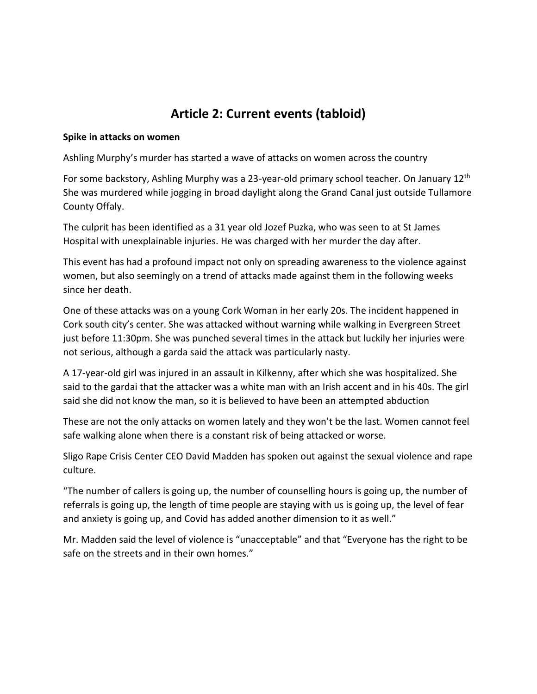## **Article 2: Current events (tabloid)**

#### **Spike in attacks on women**

Ashling Murphy's murder has started a wave of attacks on women across the country

For some backstory, Ashling Murphy was a 23-year-old primary school teacher. On January 12<sup>th</sup> She was murdered while jogging in broad daylight along the Grand Canal just outside Tullamore County Offaly.

The culprit has been identified as a 31 year old Jozef Puzka, who was seen to at St James Hospital with unexplainable injuries. He was charged with her murder the day after.

This event has had a profound impact not only on spreading awareness to the violence against women, but also seemingly on a trend of attacks made against them in the following weeks since her death.

One of these attacks was on a young Cork Woman in her early 20s. The incident happened in Cork south city's center. She was attacked without warning while walking in Evergreen Street just before 11:30pm. She was punched several times in the attack but luckily her injuries were not serious, although a garda said the attack was particularly nasty.

A 17-year-old girl was injured in an assault in Kilkenny, after which she was hospitalized. She said to the gardai that the attacker was a white man with an Irish accent and in his 40s. The girl said she did not know the man, so it is believed to have been an attempted abduction

These are not the only attacks on women lately and they won't be the last. Women cannot feel safe walking alone when there is a constant risk of being attacked or worse.

Sligo Rape Crisis Center CEO David Madden has spoken out against the sexual violence and rape culture.

"The number of callers is going up, the number of counselling hours is going up, the number of referrals is going up, the length of time people are staying with us is going up, the level of fear and anxiety is going up, and Covid has added another dimension to it as well."

Mr. Madden said the level of violence is "unacceptable" and that "Everyone has the right to be safe on the streets and in their own homes."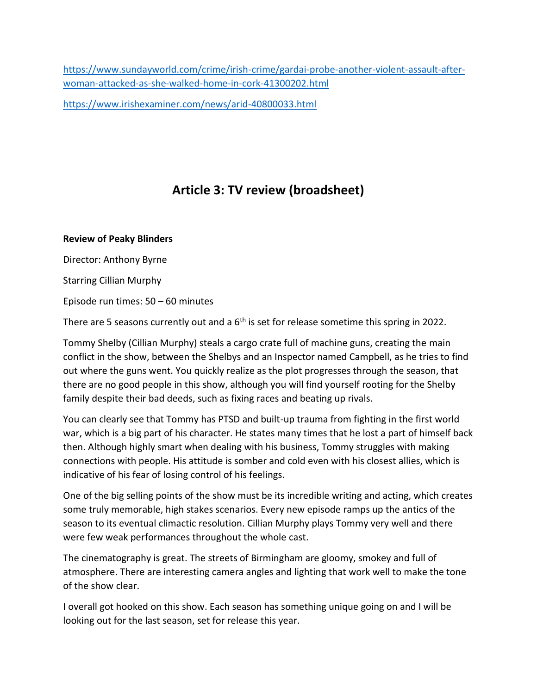[https://www.sundayworld.com/crime/irish-crime/gardai-probe-another-violent-assault-after](https://www.sundayworld.com/crime/irish-crime/gardai-probe-another-violent-assault-after-woman-attacked-as-she-walked-home-in-cork-41300202.html)[woman-attacked-as-she-walked-home-in-cork-41300202.html](https://www.sundayworld.com/crime/irish-crime/gardai-probe-another-violent-assault-after-woman-attacked-as-she-walked-home-in-cork-41300202.html)

<https://www.irishexaminer.com/news/arid-40800033.html>

# **Article 3: TV review (broadsheet)**

### **Review of Peaky Blinders**

Director: Anthony Byrne

Starring Cillian Murphy

Episode run times: 50 – 60 minutes

There are 5 seasons currently out and a 6<sup>th</sup> is set for release sometime this spring in 2022.

Tommy Shelby (Cillian Murphy) steals a cargo crate full of machine guns, creating the main conflict in the show, between the Shelbys and an Inspector named Campbell, as he tries to find out where the guns went. You quickly realize as the plot progresses through the season, that there are no good people in this show, although you will find yourself rooting for the Shelby family despite their bad deeds, such as fixing races and beating up rivals.

You can clearly see that Tommy has PTSD and built-up trauma from fighting in the first world war, which is a big part of his character. He states many times that he lost a part of himself back then. Although highly smart when dealing with his business, Tommy struggles with making connections with people. His attitude is somber and cold even with his closest allies, which is indicative of his fear of losing control of his feelings.

One of the big selling points of the show must be its incredible writing and acting, which creates some truly memorable, high stakes scenarios. Every new episode ramps up the antics of the season to its eventual climactic resolution. Cillian Murphy plays Tommy very well and there were few weak performances throughout the whole cast.

The cinematography is great. The streets of Birmingham are gloomy, smokey and full of atmosphere. There are interesting camera angles and lighting that work well to make the tone of the show clear.

I overall got hooked on this show. Each season has something unique going on and I will be looking out for the last season, set for release this year.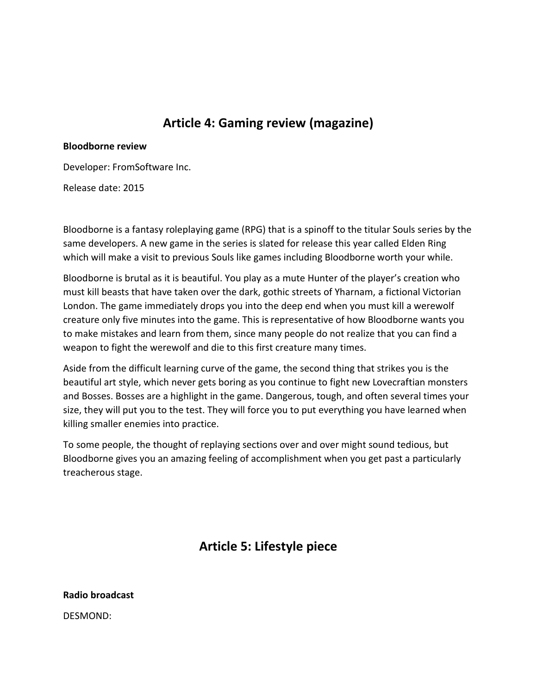## **Article 4: Gaming review (magazine)**

#### **Bloodborne review**

Developer: FromSoftware Inc.

Release date: 2015

Bloodborne is a fantasy roleplaying game (RPG) that is a spinoff to the titular Souls series by the same developers. A new game in the series is slated for release this year called Elden Ring which will make a visit to previous Souls like games including Bloodborne worth your while.

Bloodborne is brutal as it is beautiful. You play as a mute Hunter of the player's creation who must kill beasts that have taken over the dark, gothic streets of Yharnam, a fictional Victorian London. The game immediately drops you into the deep end when you must kill a werewolf creature only five minutes into the game. This is representative of how Bloodborne wants you to make mistakes and learn from them, since many people do not realize that you can find a weapon to fight the werewolf and die to this first creature many times.

Aside from the difficult learning curve of the game, the second thing that strikes you is the beautiful art style, which never gets boring as you continue to fight new Lovecraftian monsters and Bosses. Bosses are a highlight in the game. Dangerous, tough, and often several times your size, they will put you to the test. They will force you to put everything you have learned when killing smaller enemies into practice.

To some people, the thought of replaying sections over and over might sound tedious, but Bloodborne gives you an amazing feeling of accomplishment when you get past a particularly treacherous stage.

**Article 5: Lifestyle piece**

**Radio broadcast**

DESMOND: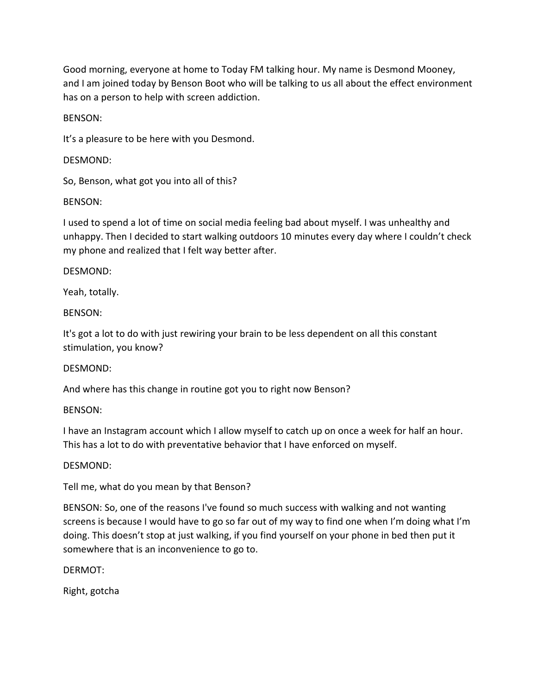Good morning, everyone at home to Today FM talking hour. My name is Desmond Mooney, and I am joined today by Benson Boot who will be talking to us all about the effect environment has on a person to help with screen addiction.

BENSON:

It's a pleasure to be here with you Desmond.

DESMOND:

So, Benson, what got you into all of this?

BENSON:

I used to spend a lot of time on social media feeling bad about myself. I was unhealthy and unhappy. Then I decided to start walking outdoors 10 minutes every day where I couldn't check my phone and realized that I felt way better after.

DESMOND:

Yeah, totally.

BENSON:

It's got a lot to do with just rewiring your brain to be less dependent on all this constant stimulation, you know?

DESMOND:

And where has this change in routine got you to right now Benson?

BENSON:

I have an Instagram account which I allow myself to catch up on once a week for half an hour. This has a lot to do with preventative behavior that I have enforced on myself.

DESMOND:

Tell me, what do you mean by that Benson?

BENSON: So, one of the reasons I've found so much success with walking and not wanting screens is because I would have to go so far out of my way to find one when I'm doing what I'm doing. This doesn't stop at just walking, if you find yourself on your phone in bed then put it somewhere that is an inconvenience to go to.

DERMOT:

Right, gotcha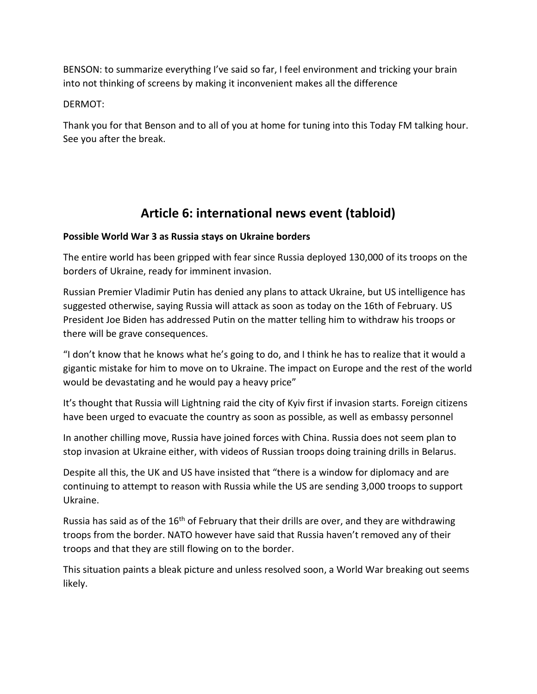BENSON: to summarize everything I've said so far, I feel environment and tricking your brain into not thinking of screens by making it inconvenient makes all the difference

DERMOT:

Thank you for that Benson and to all of you at home for tuning into this Today FM talking hour. See you after the break.

## **Article 6: international news event (tabloid)**

### **Possible World War 3 as Russia stays on Ukraine borders**

The entire world has been gripped with fear since Russia deployed 130,000 of its troops on the borders of Ukraine, ready for imminent invasion.

Russian Premier Vladimir Putin has denied any plans to attack Ukraine, but US intelligence has suggested otherwise, saying Russia will attack as soon as today on the 16th of February. US President Joe Biden has addressed Putin on the matter telling him to withdraw his troops or there will be grave consequences.

"I don't know that he knows what he's going to do, and I think he has to realize that it would a gigantic mistake for him to move on to Ukraine. The impact on Europe and the rest of the world would be devastating and he would pay a heavy price"

It's thought that Russia will Lightning raid the city of Kyiv first if invasion starts. Foreign citizens have been urged to evacuate the country as soon as possible, as well as embassy personnel

In another chilling move, Russia have joined forces with China. Russia does not seem plan to stop invasion at Ukraine either, with videos of Russian troops doing training drills in Belarus.

Despite all this, the UK and US have insisted that "there is a window for diplomacy and are continuing to attempt to reason with Russia while the US are sending 3,000 troops to support Ukraine.

Russia has said as of the  $16<sup>th</sup>$  of February that their drills are over, and they are withdrawing troops from the border. NATO however have said that Russia haven't removed any of their troops and that they are still flowing on to the border.

This situation paints a bleak picture and unless resolved soon, a World War breaking out seems likely.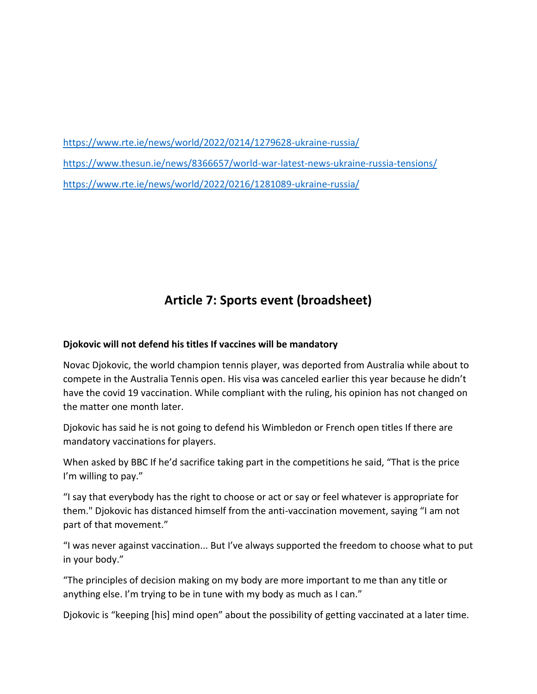<https://www.rte.ie/news/world/2022/0214/1279628-ukraine-russia/> <https://www.thesun.ie/news/8366657/world-war-latest-news-ukraine-russia-tensions/> <https://www.rte.ie/news/world/2022/0216/1281089-ukraine-russia/>

# **Article 7: Sports event (broadsheet)**

### **Djokovic will not defend his titles If vaccines will be mandatory**

Novac Djokovic, the world champion tennis player, was deported from Australia while about to compete in the Australia Tennis open. His visa was canceled earlier this year because he didn't have the covid 19 vaccination. While compliant with the ruling, his opinion has not changed on the matter one month later.

Djokovic has said he is not going to defend his Wimbledon or French open titles If there are mandatory vaccinations for players.

When asked by BBC If he'd sacrifice taking part in the competitions he said, "That is the price I'm willing to pay."

"I say that everybody has the right to choose or act or say or feel whatever is appropriate for them." Djokovic has distanced himself from the anti-vaccination movement, saying "I am not part of that movement."

"I was never against vaccination... But I've always supported the freedom to choose what to put in your body."

"The principles of decision making on my body are more important to me than any title or anything else. I'm trying to be in tune with my body as much as I can."

Djokovic is "keeping [his] mind open" about the possibility of getting vaccinated at a later time.